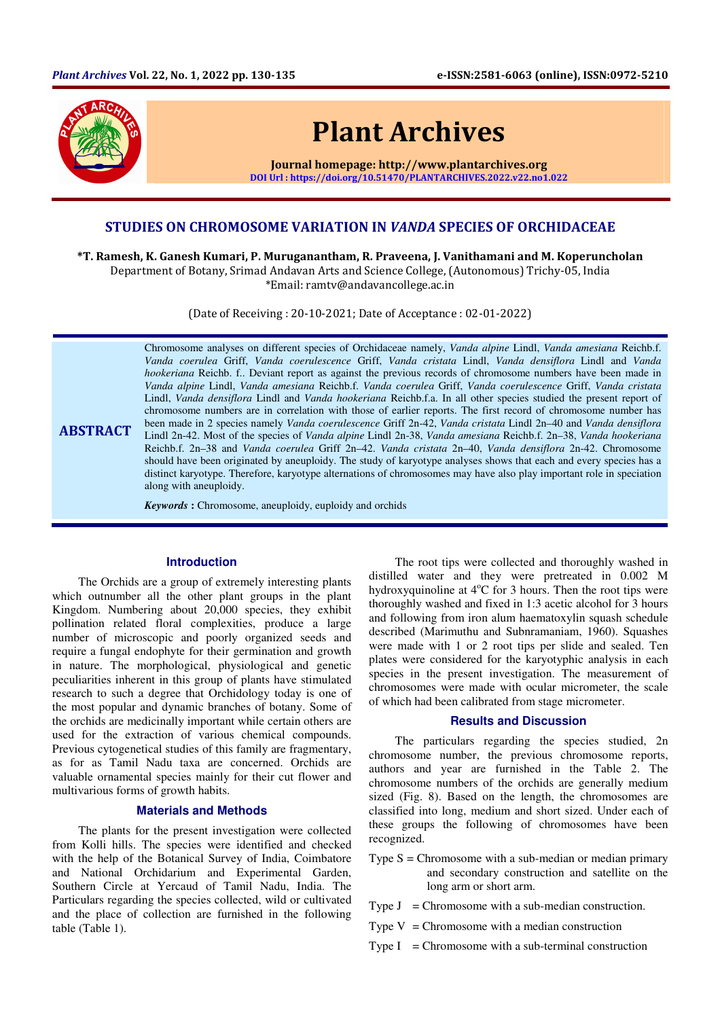

# STUDIES ON CHROMOSOME VARIATION IN VANDA SPECIES OF ORCHIDACEAE

\*T. Ramesh, K. Ganesh Kumari, P. Muruganantham, R. Praveena, J. Vanithamani and M. Koperuncholan Department of Botany, Srimad Andavan Arts and Science College, (Autonomous) Trichy-05, India \*Email: ramtv@andavancollege.ac.in

(Date of Receiving : 20-10-2021; Date of Acceptance : 02-01-2022)

**ABSTRACT** Chromosome analyses on different species of Orchidaceae namely, *Vanda alpine* Lindl, *Vanda amesiana* Reichb.f. *Vanda coerulea* Griff, *Vanda coerulescence* Griff, *Vanda cristata* Lindl, *Vanda densiflora* Lindl and *Vanda hookeriana* Reichb. f.. Deviant report as against the previous records of chromosome numbers have been made in *Vanda alpine* Lindl, *Vanda amesiana* Reichb.f. *Vanda coerulea* Griff, *Vanda coerulescence* Griff, *Vanda cristata*  Lindl, *Vanda densiflora* Lindl and *Vanda hookeriana* Reichb.f.a. In all other species studied the present report of chromosome numbers are in correlation with those of earlier reports. The first record of chromosome number has been made in 2 species namely *Vanda coerulescence* Griff 2n-42, *Vanda cristata* Lindl 2n–40 and *Vanda densiflora*  Lindl 2n-42. Most of the species of *Vanda alpine* Lindl 2n-38, *Vanda amesiana* Reichb.f. 2n–38, *Vanda hookeriana*  Reichb.f. 2n–38 and *Vanda coerulea* Griff 2n–42. *Vanda cristata* 2n–40, *Vanda densiflora* 2n-42. Chromosome should have been originated by aneuploidy. The study of karyotype analyses shows that each and every species has a distinct karyotype. Therefore, karyotype alternations of chromosomes may have also play important role in speciation along with aneuploidy.

*Keywords* **:** Chromosome, aneuploidy, euploidy and orchids

### **Introduction**

The Orchids are a group of extremely interesting plants which outnumber all the other plant groups in the plant Kingdom. Numbering about 20,000 species, they exhibit pollination related floral complexities, produce a large number of microscopic and poorly organized seeds and require a fungal endophyte for their germination and growth in nature. The morphological, physiological and genetic peculiarities inherent in this group of plants have stimulated research to such a degree that Orchidology today is one of the most popular and dynamic branches of botany. Some of the orchids are medicinally important while certain others are used for the extraction of various chemical compounds. Previous cytogenetical studies of this family are fragmentary, as for as Tamil Nadu taxa are concerned. Orchids are valuable ornamental species mainly for their cut flower and multivarious forms of growth habits.

#### **Materials and Methods**

The plants for the present investigation were collected from Kolli hills. The species were identified and checked with the help of the Botanical Survey of India, Coimbatore and National Orchidarium and Experimental Garden, Southern Circle at Yercaud of Tamil Nadu, India. The Particulars regarding the species collected, wild or cultivated and the place of collection are furnished in the following table (Table 1).

The root tips were collected and thoroughly washed in distilled water and they were pretreated in 0.002 M hydroxyquinoline at  $4^{\circ}$ C for 3 hours. Then the root tips were thoroughly washed and fixed in 1:3 acetic alcohol for 3 hours and following from iron alum haematoxylin squash schedule described (Marimuthu and Subnramaniam, 1960). Squashes were made with 1 or 2 root tips per slide and sealed. Ten plates were considered for the karyotyphic analysis in each species in the present investigation. The measurement of chromosomes were made with ocular micrometer, the scale of which had been calibrated from stage micrometer.

#### **Results and Discussion**

The particulars regarding the species studied, 2n chromosome number, the previous chromosome reports, authors and year are furnished in the Table 2. The chromosome numbers of the orchids are generally medium sized (Fig. 8). Based on the length, the chromosomes are classified into long, medium and short sized. Under each of these groups the following of chromosomes have been recognized.

- Type  $S =$  Chromosome with a sub-median or median primary and secondary construction and satellite on the long arm or short arm.
- Type  $J =$  Chromosome with a sub-median construction.
- Type  $V =$  Chromosome with a median construction
- Type  $I =$  Chromosome with a sub-terminal construction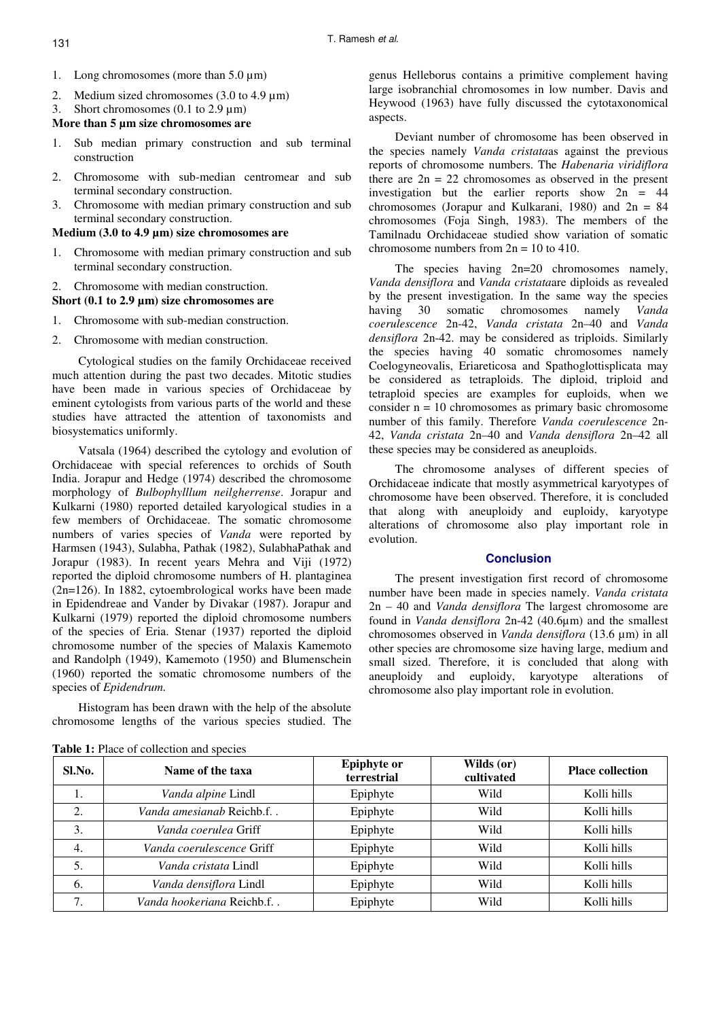- 1. Long chromosomes (more than 5.0 um)
- 2. Medium sized chromosomes (3.0 to 4.9  $\mu$ m)
- 3. Short chromosomes  $(0.1 \text{ to } 2.9 \text{ µm})$

## **More than 5 µm size chromosomes are**

- 1. Sub median primary construction and sub terminal construction
- 2. Chromosome with sub-median centromear and sub terminal secondary construction.
- 3. Chromosome with median primary construction and sub terminal secondary construction.

## **Medium (3.0 to 4.9 µm) size chromosomes are**

- 1. Chromosome with median primary construction and sub terminal secondary construction.
- 2. Chromosome with median construction.

### **Short (0.1 to 2.9 µm) size chromosomes are**

- 1. Chromosome with sub-median construction.
- 2. Chromosome with median construction.

Cytological studies on the family Orchidaceae received much attention during the past two decades. Mitotic studies have been made in various species of Orchidaceae by eminent cytologists from various parts of the world and these studies have attracted the attention of taxonomists and biosystematics uniformly.

Vatsala (1964) described the cytology and evolution of Orchidaceae with special references to orchids of South India. Jorapur and Hedge (1974) described the chromosome morphology of *Bulbophylllum neilgherrense*. Jorapur and Kulkarni (1980) reported detailed karyological studies in a few members of Orchidaceae. The somatic chromosome numbers of varies species of *Vanda* were reported by Harmsen (1943), Sulabha, Pathak (1982), SulabhaPathak and Jorapur (1983). In recent years Mehra and Viji (1972) reported the diploid chromosome numbers of H. plantaginea (2n=126). In 1882, cytoembrological works have been made in Epidendreae and Vander by Divakar (1987). Jorapur and Kulkarni (1979) reported the diploid chromosome numbers of the species of Eria. Stenar (1937) reported the diploid chromosome number of the species of Malaxis Kamemoto and Randolph (1949), Kamemoto (1950) and Blumenschein (1960) reported the somatic chromosome numbers of the species of *Epidendrum.*

Histogram has been drawn with the help of the absolute chromosome lengths of the various species studied. The genus Helleborus contains a primitive complement having large isobranchial chromosomes in low number. Davis and Heywood (1963) have fully discussed the cytotaxonomical aspects.

Deviant number of chromosome has been observed in the species namely *Vanda cristata*as against the previous reports of chromosome numbers. The *Habenaria viridiflora* there are  $2n = 22$  chromosomes as observed in the present investigation but the earlier reports show  $2n = 44$ chromosomes (Jorapur and Kulkarani, 1980) and  $2n = 84$ chromosomes (Foja Singh, 1983). The members of the Tamilnadu Orchidaceae studied show variation of somatic chromosome numbers from  $2n = 10$  to  $410$ .

The species having  $2n=20$  chromosomes namely, *Vanda densiflora* and *Vanda cristata*are diploids as revealed by the present investigation. In the same way the species having 30 somatic chromosomes namely *Vanda coerulescence* 2n-42, *Vanda cristata* 2n–40 and *Vanda densiflora* 2n-42. may be considered as triploids. Similarly the species having 40 somatic chromosomes namely Coelogyneovalis, Eriareticosa and Spathoglottisplicata may be considered as tetraploids. The diploid, triploid and tetraploid species are examples for euploids, when we consider  $n = 10$  chromosomes as primary basic chromosome number of this family. Therefore *Vanda coerulescence* 2n-42, *Vanda cristata* 2n–40 and *Vanda densiflora* 2n–42 all these species may be considered as aneuploids.

The chromosome analyses of different species of Orchidaceae indicate that mostly asymmetrical karyotypes of chromosome have been observed. Therefore, it is concluded that along with aneuploidy and euploidy, karyotype alterations of chromosome also play important role in evolution.

### **Conclusion**

The present investigation first record of chromosome number have been made in species namely. *Vanda cristata* 2n – 40 and *Vanda densiflora* The largest chromosome are found in *Vanda densiflora* 2n-42 (40.6µm) and the smallest chromosomes observed in *Vanda densiflora* (13.6 µm) in all other species are chromosome size having large, medium and small sized. Therefore, it is concluded that along with aneuploidy and euploidy, karyotype alterations of chromosome also play important role in evolution.

| Sl.No. | Name of the taxa             | <b>Epiphyte or</b><br>terrestrial | Wilds (or)<br>cultivated | <b>Place collection</b> |
|--------|------------------------------|-----------------------------------|--------------------------|-------------------------|
| ı.     | Vanda alpine Lindl           | Epiphyte                          | Wild                     | Kolli hills             |
| 2.     | Vanda amesianab Reichb.f     | Epiphyte                          | Wild                     | Kolli hills             |
| 3.     | <i>Vanda coerulea</i> Griff  | Epiphyte                          | Wild                     | Kolli hills             |
| 4.     | Vanda coerulescence Griff    | Epiphyte                          | Wild                     | Kolli hills             |
| 5.     | <i>Vanda cristata</i> Lindl  | Epiphyte                          | Wild                     | Kolli hills             |
| 6.     | Vanda densiflora Lindl       | Epiphyte                          | Wild                     | Kolli hills             |
| 7.     | Vanda hookeriana Reichb.f. . | Epiphyte                          | Wild                     | Kolli hills             |

**Table 1:** Place of collection and species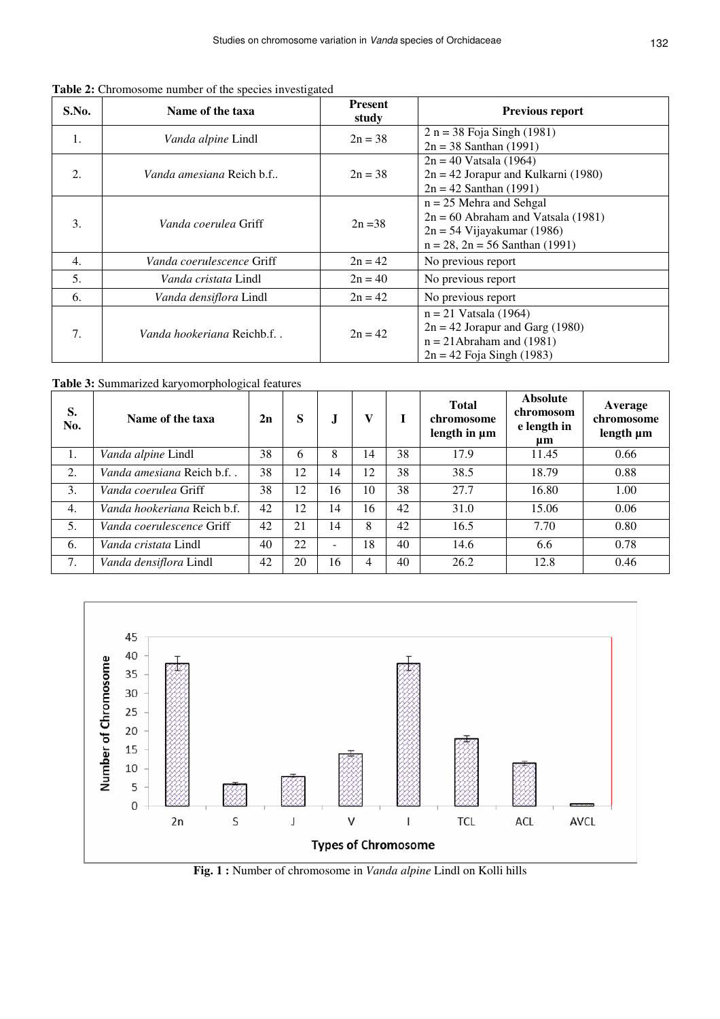**Table 2:** Chromosome number of the species investigated

| S.No. | Name of the taxa                 | <b>Present</b><br>study | Previous report                                                   |  |  |
|-------|----------------------------------|-------------------------|-------------------------------------------------------------------|--|--|
| 1.    | <i>Vanda alpine</i> Lindl        | $2n = 38$               | $2 n = 38$ Foja Singh (1981)                                      |  |  |
|       |                                  |                         | $2n = 38$ Santhan (1991)                                          |  |  |
| 2.    | <i>Vanda amesiana</i> Reich b.f  |                         | $2n = 40$ Vatsala (1964)                                          |  |  |
|       |                                  | $2n = 38$               | $2n = 42$ Jorapur and Kulkarni (1980)                             |  |  |
|       |                                  |                         | $2n = 42$ Santhan (1991)                                          |  |  |
| 3.    | <i>Vanda coerulea</i> Griff      |                         | $n = 25$ Mehra and Sehgal<br>$2n = 60$ Abraham and Vatsala (1981) |  |  |
|       |                                  | $2n = 38$               |                                                                   |  |  |
|       |                                  |                         | $2n = 54$ Vijayakumar (1986)                                      |  |  |
|       |                                  |                         | $n = 28$ , $2n = 56$ Santhan (1991)                               |  |  |
| 4.    | Vanda coerulescence Griff        | $2n = 42$               | No previous report                                                |  |  |
| 5.    | <i>Vanda cristata</i> Lindl      | $2n = 40$               | No previous report                                                |  |  |
| 6.    | Vanda densiflora Lindl           | $2n = 42$               | No previous report                                                |  |  |
| 7.    | <i>Vanda hookeriana</i> Reichb.f |                         | $n = 21$ Vatsala (1964)                                           |  |  |
|       |                                  | $2n = 42$               | $2n = 42$ Jorapur and Garg (1980)                                 |  |  |
|       |                                  |                         | $n = 21$ Abraham and (1981)                                       |  |  |
|       |                                  |                         | $2n = 42$ Foja Singh (1983)                                       |  |  |

**Table 3:** Summarized karyomorphological features

| S.<br>No. | Name of the taxa            | 2n | S  | J                        | V  |    | <b>Total</b><br>chromosome<br>length in µm | <b>Absolute</b><br>chromosom<br>e length in<br>um | Average<br>chromosome<br>length µm |
|-----------|-----------------------------|----|----|--------------------------|----|----|--------------------------------------------|---------------------------------------------------|------------------------------------|
| 1.        | Vanda alpine Lindl          | 38 | 6  | 8                        | 14 | 38 | 17.9                                       | 11.45                                             | 0.66                               |
| 2.        | Vanda amesiana Reich b.f    | 38 | 12 | 14                       | 12 | 38 | 38.5                                       | 18.79                                             | 0.88                               |
| 3.        | <i>Vanda coerulea</i> Griff | 38 | 12 | 16                       | 10 | 38 | 27.7                                       | 16.80                                             | 1.00                               |
| 4.        | Vanda hookeriana Reich b.f. | 42 | 12 | 14                       | 16 | 42 | 31.0                                       | 15.06                                             | 0.06                               |
| 5.        | Vanda coerulescence Griff   | 42 | 21 | 14                       | 8  | 42 | 16.5                                       | 7.70                                              | 0.80                               |
| 6.        | Vanda cristata Lindl        | 40 | 22 | $\overline{\phantom{0}}$ | 18 | 40 | 14.6                                       | 6.6                                               | 0.78                               |
| 7.        | Vanda densiflora Lindl      | 42 | 20 | 16                       | 4  | 40 | 26.2                                       | 12.8                                              | 0.46                               |



**Fig. 1 :** Number of chromosome in *Vanda alpine* Lindl on Kolli hills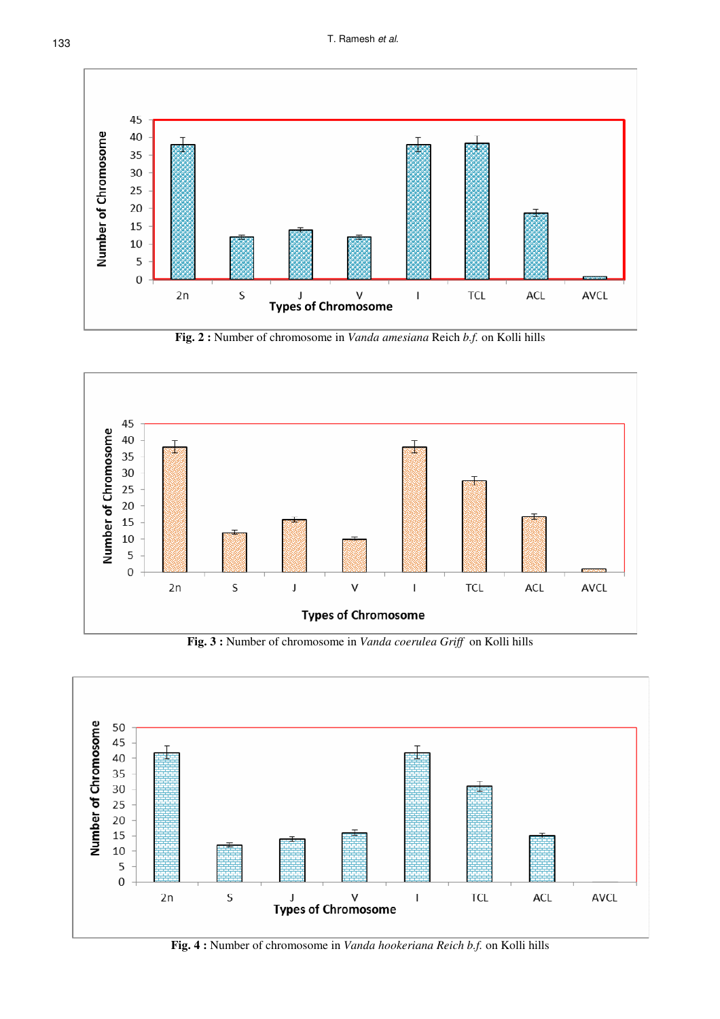133 T. Ramesh *et al.* 



**Fig. 2 :** Number of chromosome in *Vanda amesiana* Reich *b.f.* on Kolli hills



**Fig. 3 :** Number of chromosome in *Vanda coerulea Griff* on Kolli hills



**Fig. 4 :** Number of chromosome in *Vanda hookeriana Reich b.f.* on Kolli hills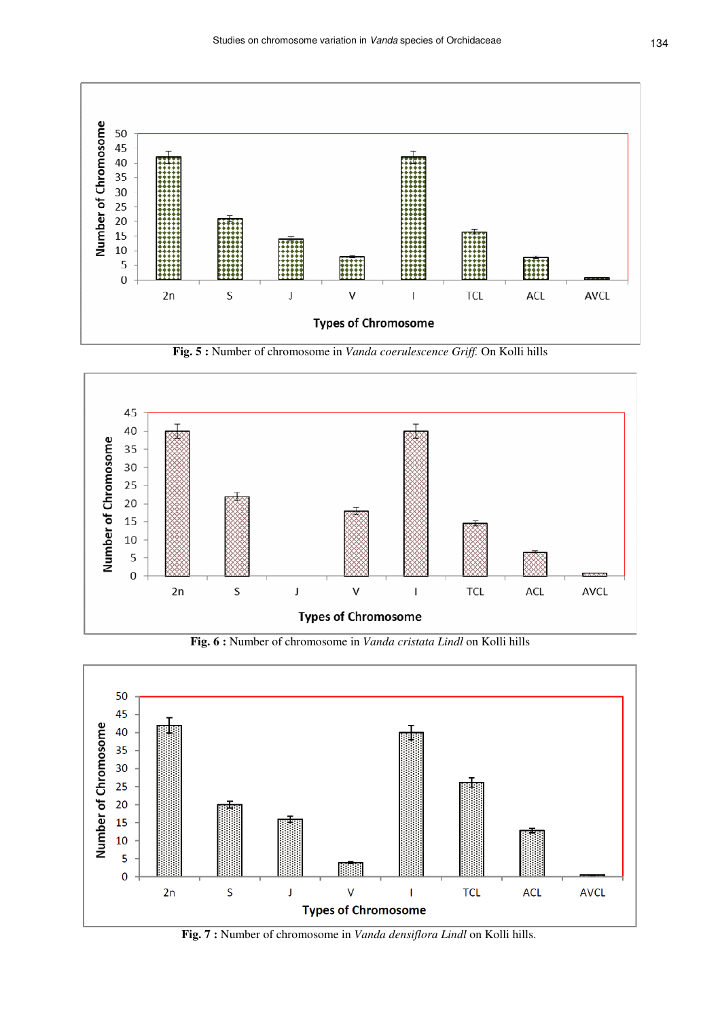

**Fig. 5 :** Number of chromosome in *Vanda coerulescence Griff.* On Kolli hills



**Fig. 6 :** Number of chromosome in *Vanda cristata Lindl* on Kolli hills



**Fig. 7 :** Number of chromosome in *Vanda densiflora Lindl* on Kolli hills.